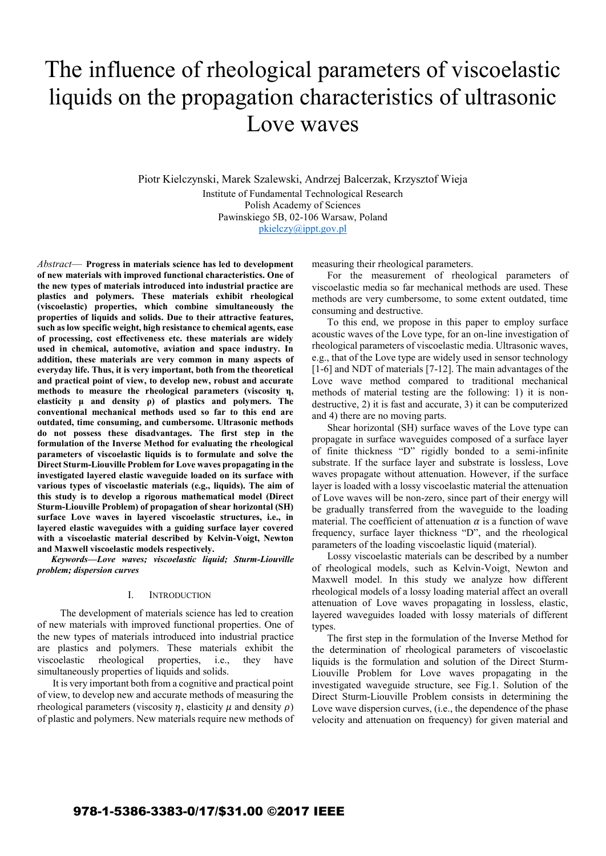# The influence of rheological parameters of viscoelastic liquids on the propagation characteristics of ultrasonic Love waves

Piotr Kielczynski, Marek Szalewski, Andrzej Balcerzak, Krzysztof Wieja Institute of Fundamental Technological Research Polish Academy of Sciences Pawinskiego 5B, 02-106 Warsaw, Poland pkielczy@ippt.gov.pl

*Abstract*— **Progress in materials science has led to development of new materials with improved functional characteristics. One of the new types of materials introduced into industrial practice are plastics and polymers. These materials exhibit rheological (viscoelastic) properties, which combine simultaneously the properties of liquids and solids. Due to their attractive features, such as low specific weight, high resistance to chemical agents, ease of processing, cost effectiveness etc. these materials are widely used in chemical, automotive, aviation and space industry. In addition, these materials are very common in many aspects of everyday life. Thus, it is very important, both from the theoretical and practical point of view, to develop new, robust and accurate methods to measure the rheological parameters (viscosity η, elasticity μ and density ρ) of plastics and polymers. The conventional mechanical methods used so far to this end are outdated, time consuming, and cumbersome. Ultrasonic methods do not possess these disadvantages. The first step in the formulation of the Inverse Method for evaluating the rheological parameters of viscoelastic liquids is to formulate and solve the Direct Sturm-Liouville Problem for Love waves propagating in the investigated layered elastic waveguide loaded on its surface with various types of viscoelastic materials (e.g., liquids). The aim of this study is to develop a rigorous mathematical model (Direct Sturm-Liouville Problem) of propagation of shear horizontal (SH) surface Love waves in layered viscoelastic structures, i.e., in layered elastic waveguides with a guiding surface layer covered with a viscoelastic material described by Kelvin-Voigt, Newton and Maxwell viscoelastic models respectively.** 

*Keywords—Love waves; viscoelastic liquid; Sturm-Liouville problem; dispersion curves* 

## I. INTRODUCTION

 The development of materials science has led to creation of new materials with improved functional properties. One of the new types of materials introduced into industrial practice are plastics and polymers. These materials exhibit the viscoelastic rheological properties, i.e., they have simultaneously properties of liquids and solids.

 It is very important both from a cognitive and practical point of view, to develop new and accurate methods of measuring the rheological parameters (viscosity  $\eta$ , elasticity  $\mu$  and density  $\rho$ ) of plastic and polymers. New materials require new methods of measuring their rheological parameters.

 For the measurement of rheological parameters of viscoelastic media so far mechanical methods are used. These methods are very cumbersome, to some extent outdated, time consuming and destructive.

 To this end, we propose in this paper to employ surface acoustic waves of the Love type, for an on-line investigation of rheological parameters of viscoelastic media. Ultrasonic waves, e.g., that of the Love type are widely used in sensor technology [1-6] and NDT of materials [7-12]. The main advantages of the Love wave method compared to traditional mechanical methods of material testing are the following: 1) it is nondestructive, 2) it is fast and accurate, 3) it can be computerized and 4) there are no moving parts.

 Shear horizontal (SH) surface waves of the Love type can propagate in surface waveguides composed of a surface layer of finite thickness "D" rigidly bonded to a semi-infinite substrate. If the surface layer and substrate is lossless, Love waves propagate without attenuation. However, if the surface layer is loaded with a lossy viscoelastic material the attenuation of Love waves will be non-zero, since part of their energy will be gradually transferred from the waveguide to the loading material. The coefficient of attenuation  $\alpha$  is a function of wave frequency, surface layer thickness "D", and the rheological parameters of the loading viscoelastic liquid (material).

 Lossy viscoelastic materials can be described by a number of rheological models, such as Kelvin-Voigt, Newton and Maxwell model. In this study we analyze how different rheological models of a lossy loading material affect an overall attenuation of Love waves propagating in lossless, elastic, layered waveguides loaded with lossy materials of different types.

 The first step in the formulation of the Inverse Method for the determination of rheological parameters of viscoelastic liquids is the formulation and solution of the Direct Sturm-Liouville Problem for Love waves propagating in the investigated waveguide structure, see Fig.1. Solution of the Direct Sturm-Liouville Problem consists in determining the Love wave dispersion curves, (i.e., the dependence of the phase velocity and attenuation on frequency) for given material and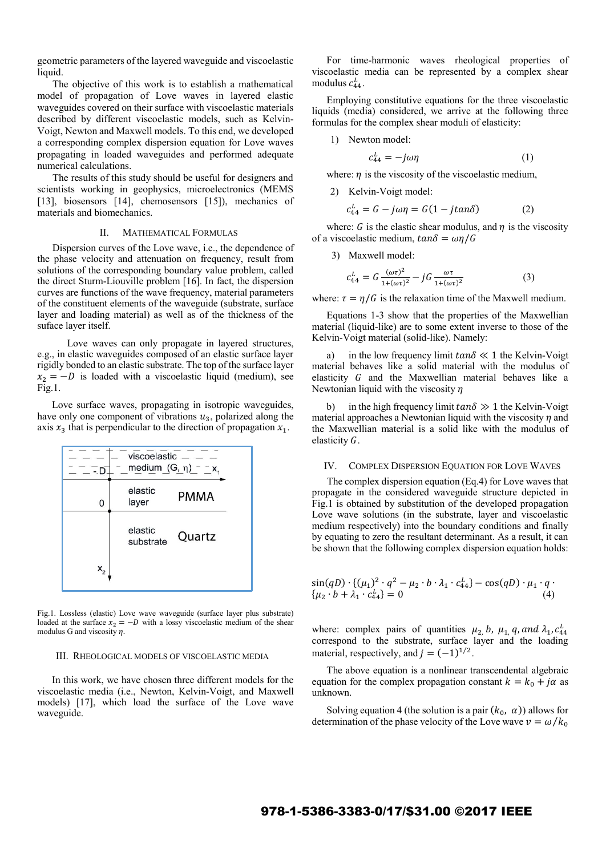geometric parameters of the layered waveguide and viscoelastic liquid.

 The objective of this work is to establish a mathematical model of propagation of Love waves in layered elastic waveguides covered on their surface with viscoelastic materials described by different viscoelastic models, such as Kelvin-Voigt, Newton and Maxwell models. To this end, we developed a corresponding complex dispersion equation for Love waves propagating in loaded waveguides and performed adequate numerical calculations.

 The results of this study should be useful for designers and scientists working in geophysics, microelectronics (MEMS [13], biosensors [14], chemosensors [15]), mechanics of materials and biomechanics.

### II. MATHEMATICAL FORMULAS

 Dispersion curves of the Love wave, i.e., the dependence of the phase velocity and attenuation on frequency, result from solutions of the corresponding boundary value problem, called the direct Sturm-Liouville problem [16]. In fact, the dispersion curves are functions of the wave frequency, material parameters of the constituent elements of the waveguide (substrate, surface layer and loading material) as well as of the thickness of the suface layer itself.

 Love waves can only propagate in layered structures, e.g., in elastic waveguides composed of an elastic surface layer rigidly bonded to an elastic substrate. The top of the surface layer  $x_2 = -D$  is loaded with a viscoelastic liquid (medium), see Fig.1.

Love surface waves, propagating in isotropic waveguides, have only one component of vibrations  $u_3$ , polarized along the axis  $x_3$  that is perpendicular to the direction of propagation  $x_1$ .



Fig.1. Lossless (elastic) Love wave waveguide (surface layer plus substrate) loaded at the surface  $x_2 = -D$  with a lossy viscoelastic medium of the shear modulus G and viscosity  $\eta$ .

#### III. RHEOLOGICAL MODELS OF VISCOELASTIC MEDIA

In this work, we have chosen three different models for the viscoelastic media (i.e., Newton, Kelvin-Voigt, and Maxwell models) [17], which load the surface of the Love wave waveguide.

For time-harmonic waves rheological properties of viscoelastic media can be represented by a complex shear modulus  $c_{44}^L$ .

Employing constitutive equations for the three viscoelastic liquids (media) considered, we arrive at the following three formulas for the complex shear moduli of elasticity:

1) Newton model:

$$
c_{44}^L = -j\omega\eta\tag{1}
$$

where:  $\eta$  is the viscosity of the viscoelastic medium,

2) Kelvin-Voigt model:

$$
c_{44}^L = G - j\omega\eta = G(1 - j\tan\delta) \tag{2}
$$

where: G is the elastic shear modulus, and  $\eta$  is the viscosity of a viscoelastic medium,  $tan\delta = \omega \eta/G$ 

3) Maxwell model:

$$
c_{44}^L = G \frac{(\omega \tau)^2}{1 + (\omega \tau)^2} - jG \frac{\omega \tau}{1 + (\omega \tau)^2}
$$
 (3)

where:  $\tau = \eta/G$  is the relaxation time of the Maxwell medium.

Equations 1-3 show that the properties of the Maxwellian material (liquid-like) are to some extent inverse to those of the Kelvin-Voigt material (solid-like). Namely:

a) in the low frequency limit  $tan\delta \ll 1$  the Kelvin-Voigt material behaves like a solid material with the modulus of elasticity G and the Maxwellian material behaves like a Newtonian liquid with the viscosity  $\eta$ 

b) in the high frequency limit  $tan\delta \gg 1$  the Kelvin-Voigt material approaches a Newtonian liquid with the viscosity  $\eta$  and the Maxwellian material is a solid like with the modulus of elasticity  $G$ .

#### IV. COMPLEX DISPERSION EQUATION FOR LOVE WAVES

 The complex dispersion equation (Eq.4) for Love waves that propagate in the considered waveguide structure depicted in Fig.1 is obtained by substitution of the developed propagation Love wave solutions (in the substrate, layer and viscoelastic medium respectively) into the boundary conditions and finally by equating to zero the resultant determinant. As a result, it can be shown that the following complex dispersion equation holds:

$$
\sin(qD) \cdot \{(\mu_1)^2 \cdot q^2 - \mu_2 \cdot b \cdot \lambda_1 \cdot c_{44}^L\} - \cos(qD) \cdot \mu_1 \cdot q \cdot ( \mu_2 \cdot b + \lambda_1 \cdot c_{44}^L \} = 0 \tag{4}
$$

where: complex pairs of quantities  $\mu_{2}$ , b,  $\mu_{1}$ , q, and  $\lambda_{1}$ ,  $c_{44}^{L}$ correspond to the substrate, surface layer and the loading material, respectively, and  $j = (-1)^{1/2}$ .

The above equation is a nonlinear transcendental algebraic equation for the complex propagation constant  $k = k_0 + j\alpha$  as unknown.

Solving equation 4 (the solution is a pair  $(k_0, \alpha)$ ) allows for determination of the phase velocity of the Love wave  $v = \omega/k_0$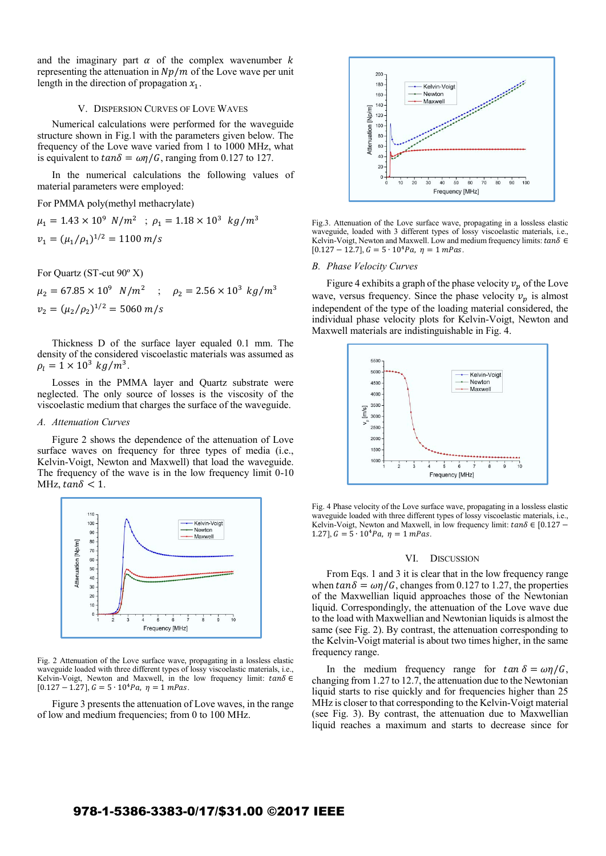and the imaginary part  $\alpha$  of the complex wavenumber  $k$ representing the attenuation in  $Np/m$  of the Love wave per unit length in the direction of propagation  $x_1$ .

## V. DISPERSION CURVES OF LOVE WAVES

Numerical calculations were performed for the waveguide structure shown in Fig.1 with the parameters given below. The frequency of the Love wave varied from 1 to 1000 MHz, what is equivalent to  $tan\delta = \omega \eta/G$ , ranging from 0.127 to 127.

In the numerical calculations the following values of material parameters were employed:

For PMMA poly(methyl methacrylate)

 $\mu_1 = 1.43 \times 10^9 \text{ N/m}^2$ ;  $\rho_1 = 1.18 \times 10^3 \text{ kg/m}^3$  $v_1 = (\mu_1/\rho_1)^{1/2} = 1100 \; m/s$ 

For Quartz (ST-cut 90º X)

 $\mu_2 = 67.85 \times 10^9 \text{ N/m}^2$  ;  $\rho_2 = 2.56 \times 10^3 \text{ kg/m}^3$  $v_2 = (\mu_2/\rho_2)^{1/2} = 5060 \ m/s$ 

Thickness D of the surface layer equaled 0.1 mm. The density of the considered viscoelastic materials was assumed as  $\rho_l = 1 \times 10^3 \ kg/m^3$ .

Losses in the PMMA layer and Quartz substrate were neglected. The only source of losses is the viscosity of the viscoelastic medium that charges the surface of the waveguide.

## *A. Attenuation Curves*

Figure 2 shows the dependence of the attenuation of Love surface waves on frequency for three types of media (i.e., Kelvin-Voigt, Newton and Maxwell) that load the waveguide. The frequency of the wave is in the low frequency limit 0-10 MHz,  $tan\delta < 1$ .



Fig. 2 Attenuation of the Love surface wave, propagating in a lossless elastic waveguide loaded with three different types of lossy viscoelastic materials, i.e., Kelvin-Voigt, Newton and Maxwell, in the low frequency limit:  $tan\delta$  ∈  $[0.127 - 1.27], G = 5 \cdot 10^4 Pa, \eta = 1 mPa$ s.

Figure 3 presents the attenuation of Love waves, in the range of low and medium frequencies; from 0 to 100 MHz.



Fig.3. Attenuation of the Love surface wave, propagating in a lossless elastic waveguide, loaded with 3 different types of lossy viscoelastic materials, i.e., Kelvin-Voigt, Newton and Maxwell. Low and medium frequency limits:  $tan\delta$  ∈  $[0.127 - 12.7], G = 5 \cdot 10^4 Pa, \eta = 1 mPa$ s.

## *B. Phase Velocity Curves*

Figure 4 exhibits a graph of the phase velocity  $v_p$  of the Love wave, versus frequency. Since the phase velocity  $v_n$  is almost independent of the type of the loading material considered, the individual phase velocity plots for Kelvin-Voigt, Newton and Maxwell materials are indistinguishable in Fig. 4.



Fig. 4 Phase velocity of the Love surface wave, propagating in a lossless elastic waveguide loaded with three different types of lossy viscoelastic materials, i.e., Kelvin-Voigt, Newton and Maxwell, in low frequency limit:  $tan\delta \in [0.127 -$ 1.27],  $G = 5 \cdot 10^4 Pa$ ,  $η = 1 mPas$ .

#### VI. DISCUSSION

From Eqs. 1 and 3 it is clear that in the low frequency range when  $tan\delta = \omega \eta/G$ , changes from 0.127 to 1.27, the properties of the Maxwellian liquid approaches those of the Newtonian liquid. Correspondingly, the attenuation of the Love wave due to the load with Maxwellian and Newtonian liquids is almost the same (see Fig. 2). By contrast, the attenuation corresponding to the Kelvin-Voigt material is about two times higher, in the same frequency range.

In the medium frequency range for  $tan \delta = \omega \eta/G$ , changing from 1.27 to 12.7, the attenuation due to the Newtonian liquid starts to rise quickly and for frequencies higher than 25 MHz is closer to that corresponding to the Kelvin-Voigt material (see Fig. 3). By contrast, the attenuation due to Maxwellian liquid reaches a maximum and starts to decrease since for